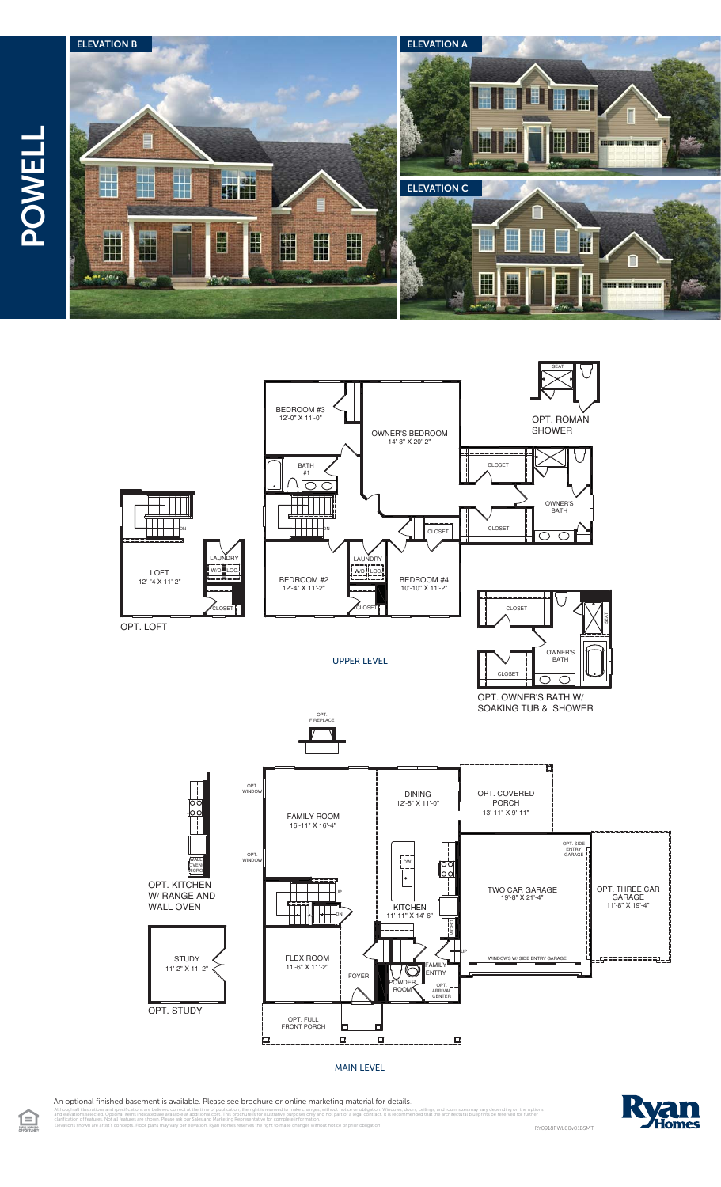



MAIN LEVEL

An optional finished basement is available. Please see brochure or online marketing material for details.

 $\bigoplus$ 

l illustrations and specifications are believed correct at the time of publication, the right is reserved to make changes, without notice or obligation. Windows, doors, cellings, and room sizes may vary depending on the op celleved correct at the<br>Id are available at adi<br>wn. Please ask our <sup>Sa</sup>

Elevations shown are artist's concepts. Floor plans may vary per elevation. Ryan Homes reserves the right to make changes without notice or prior obligation. RY0918PWL00v01BSMT



ال